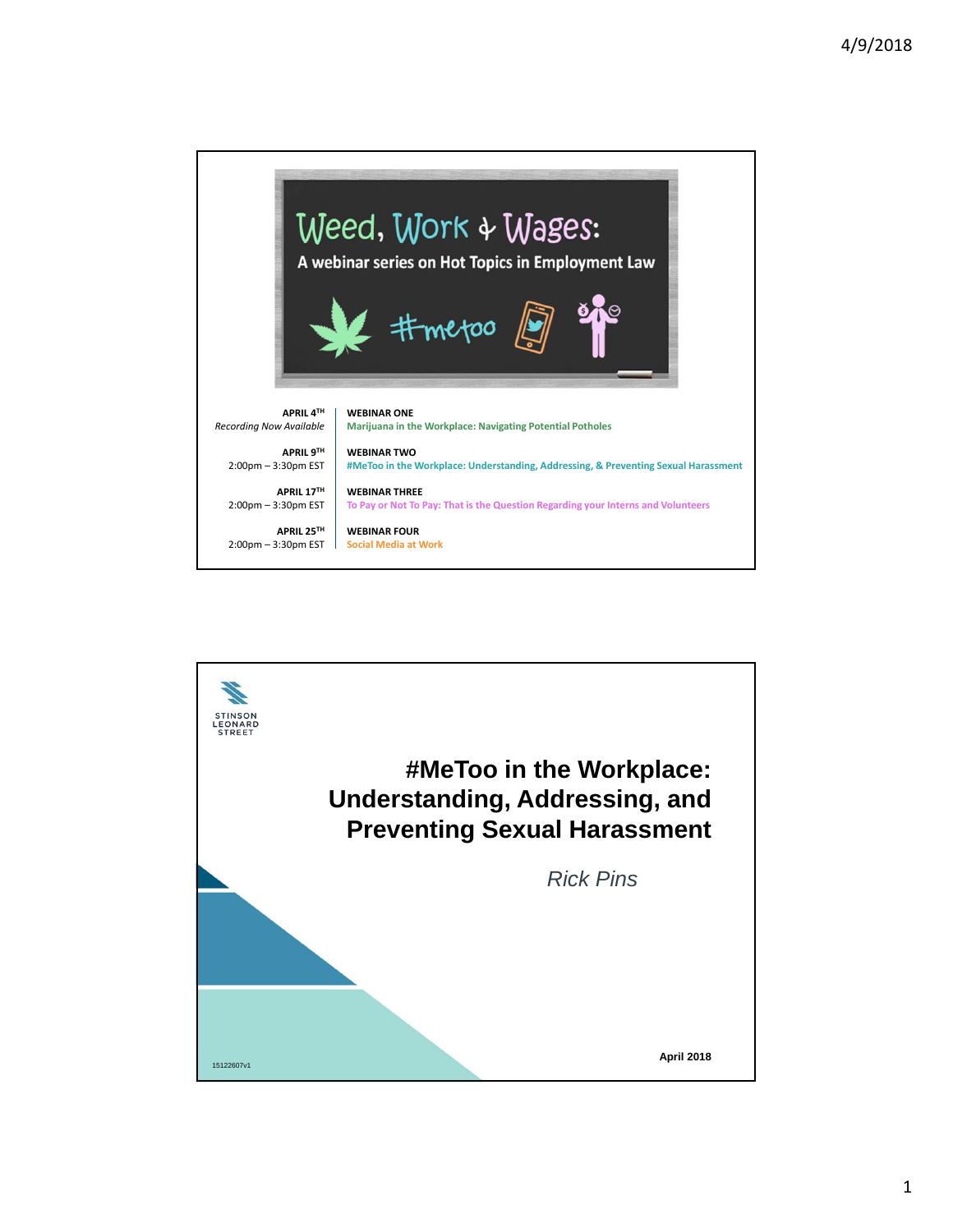

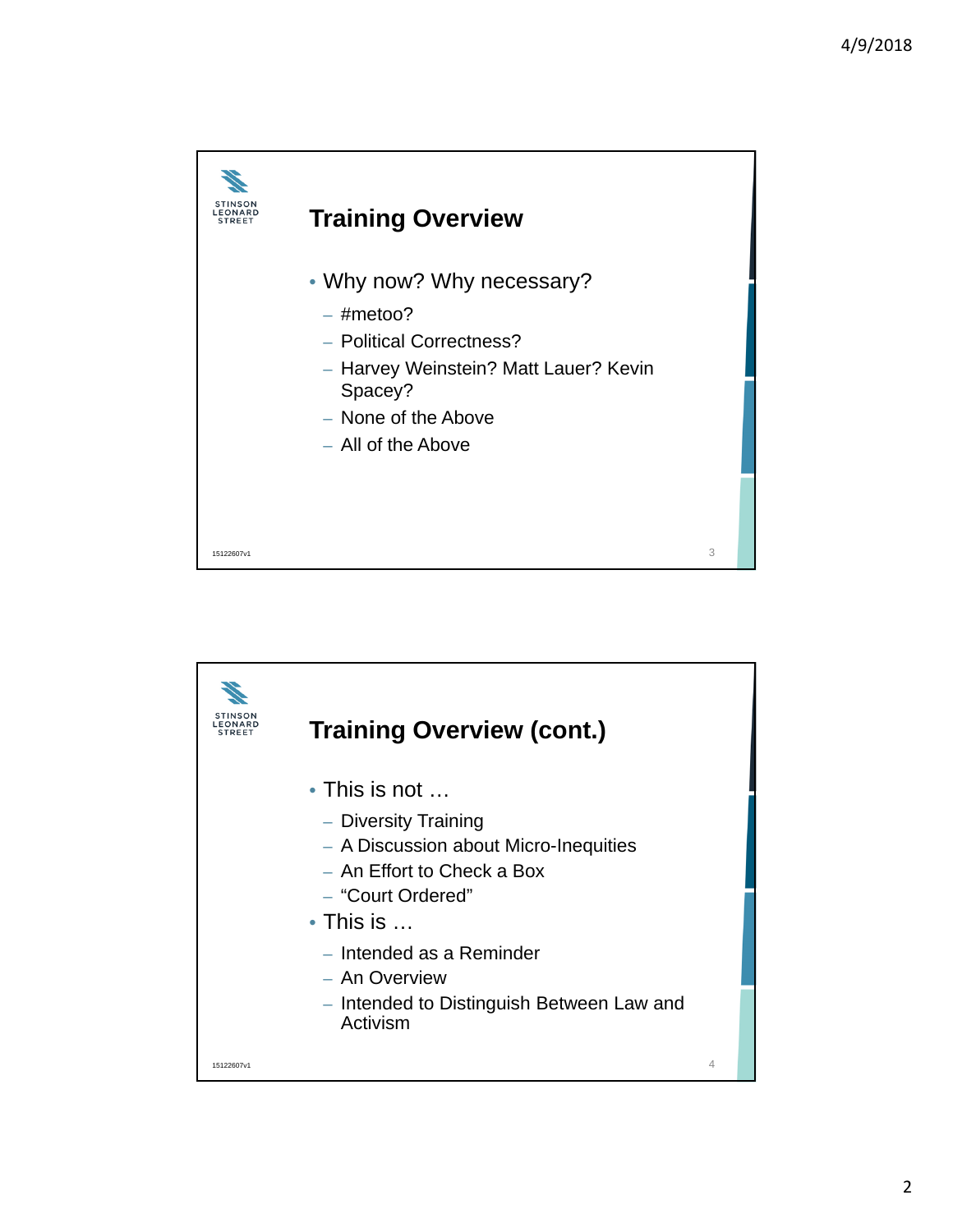

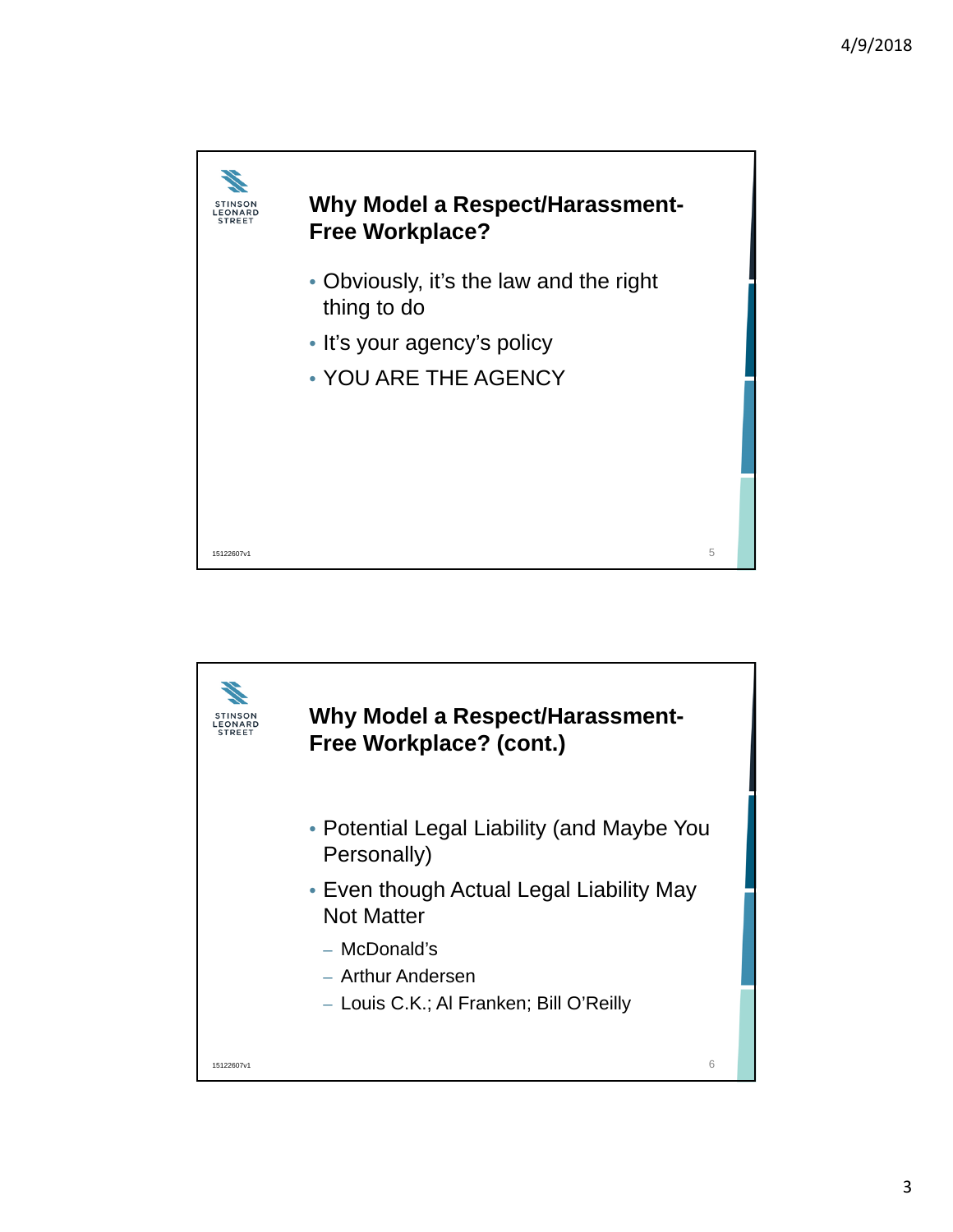

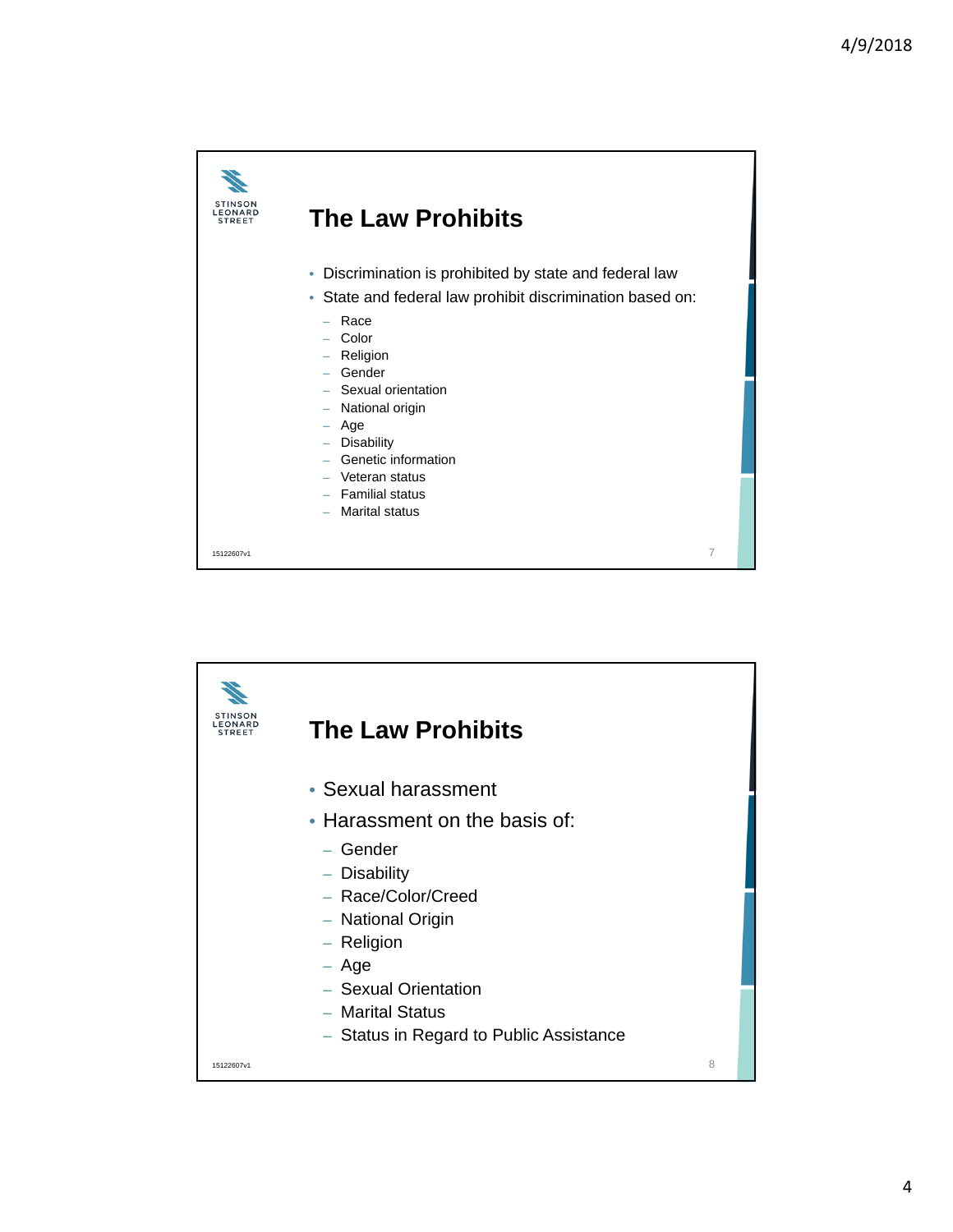

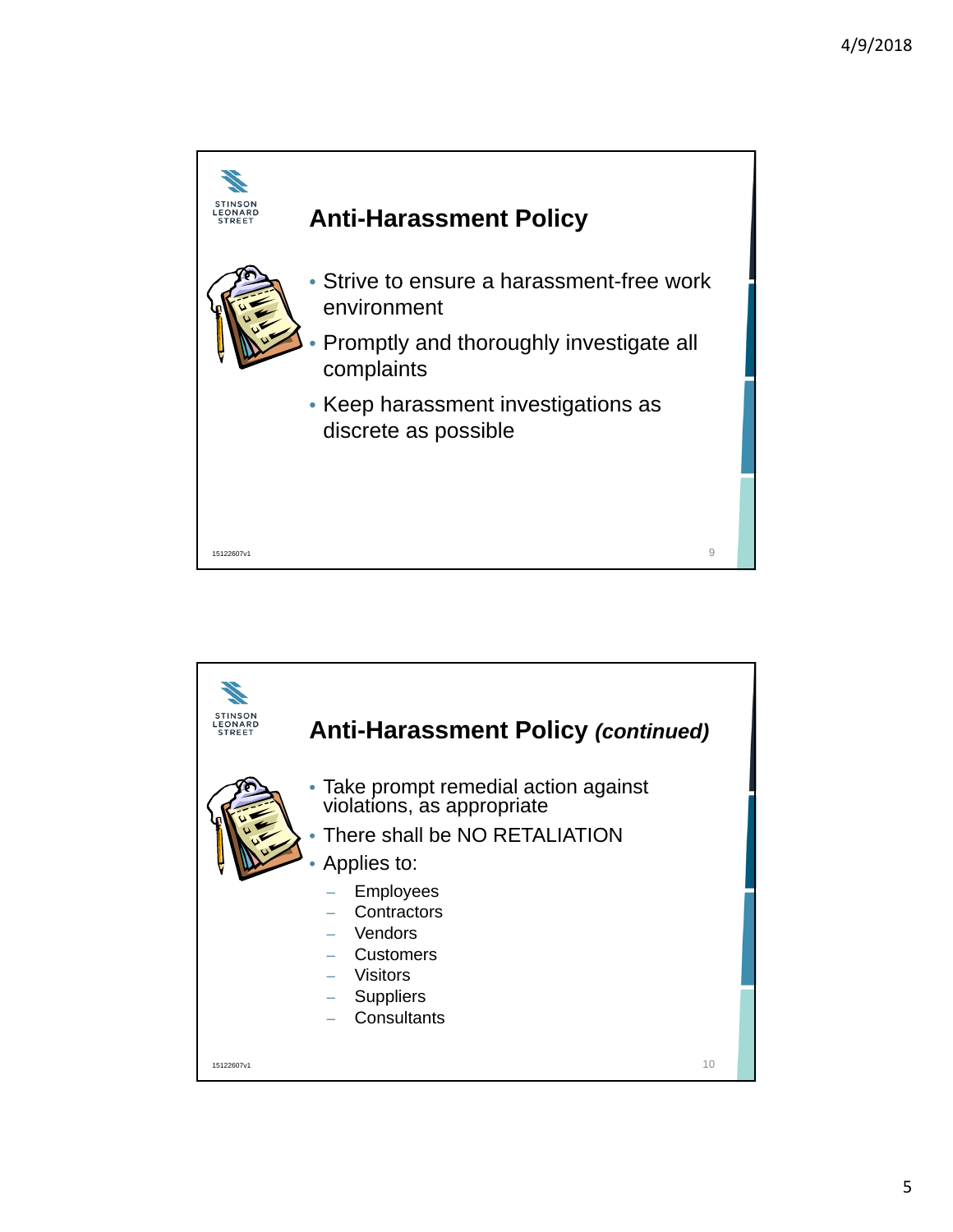

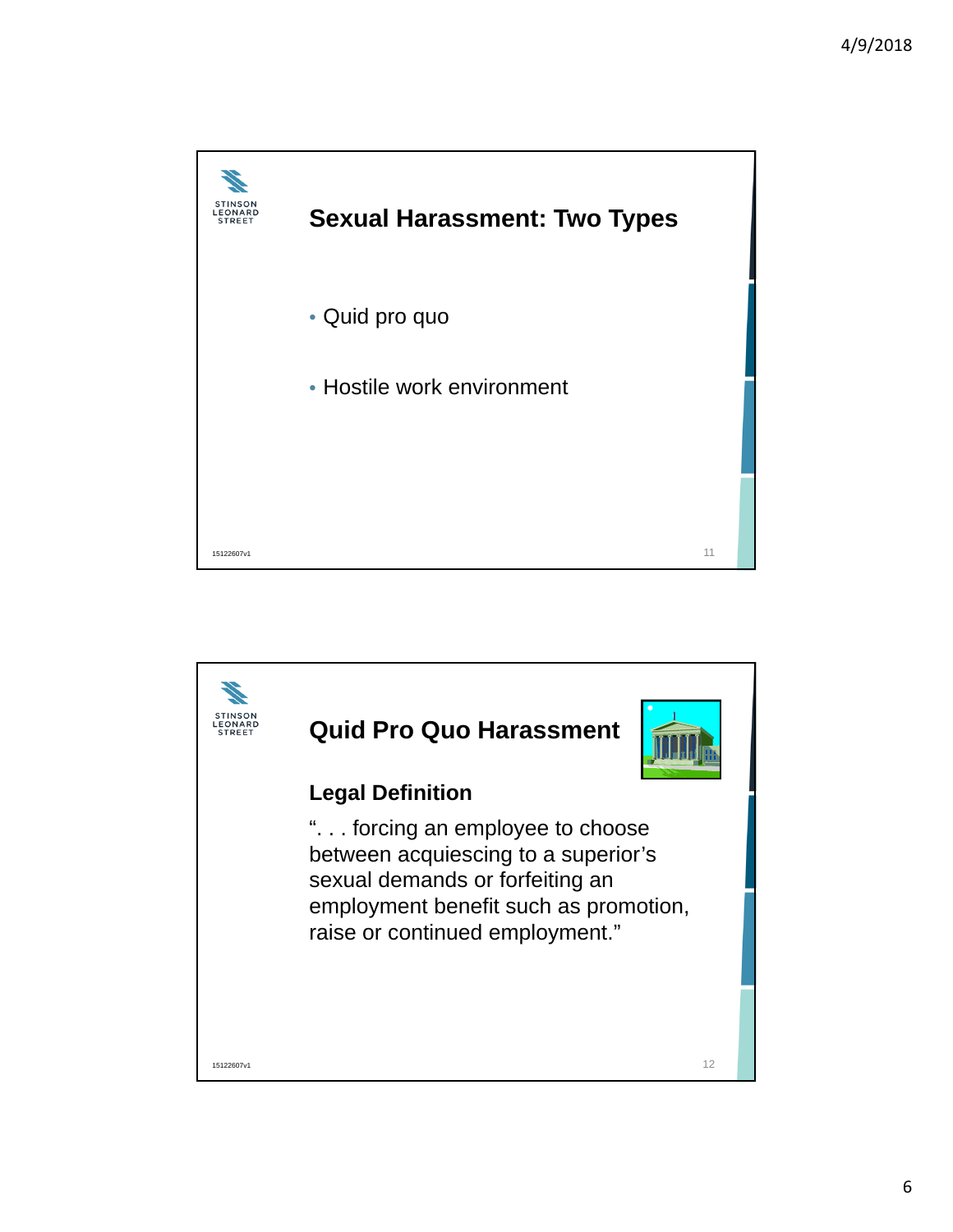

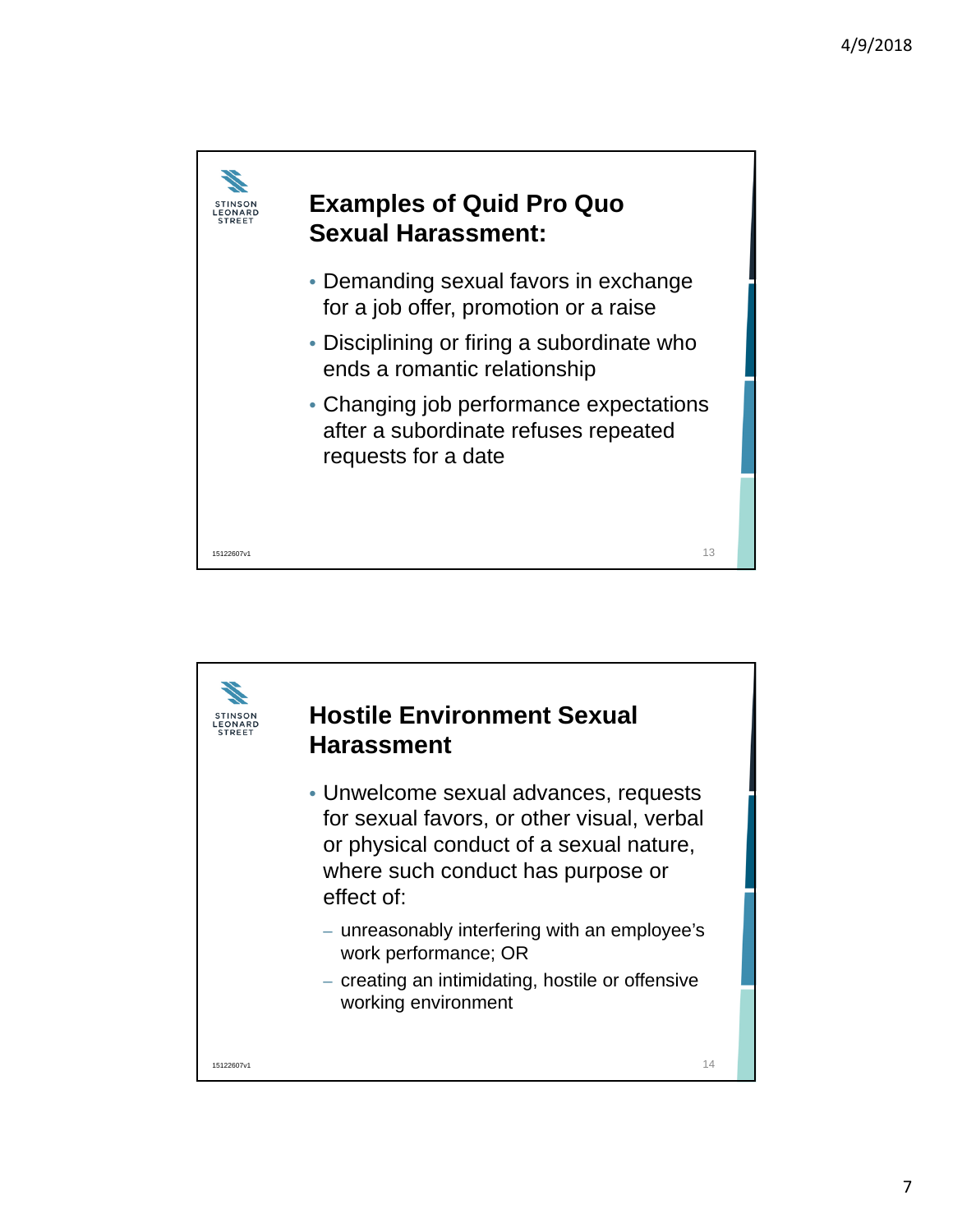

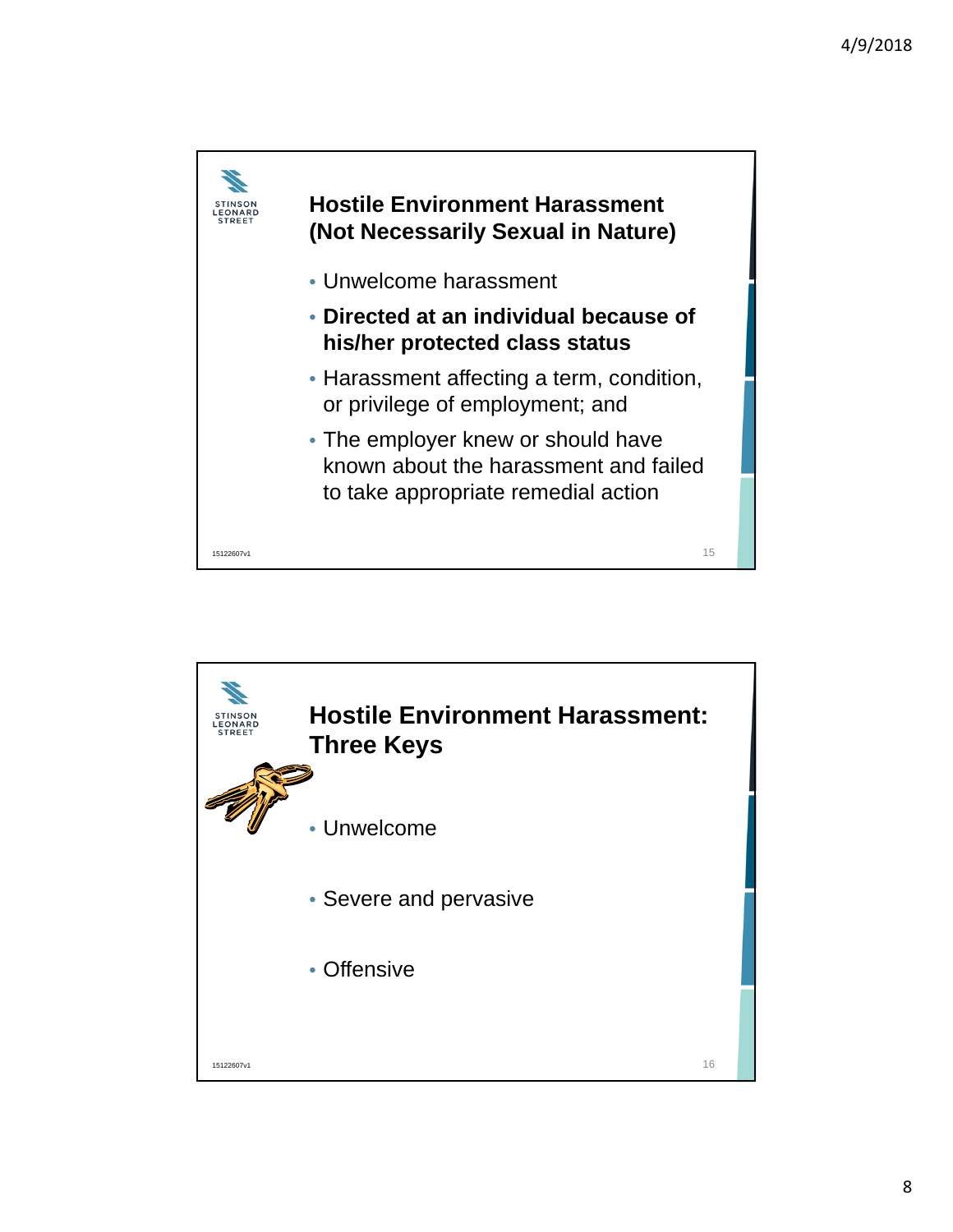

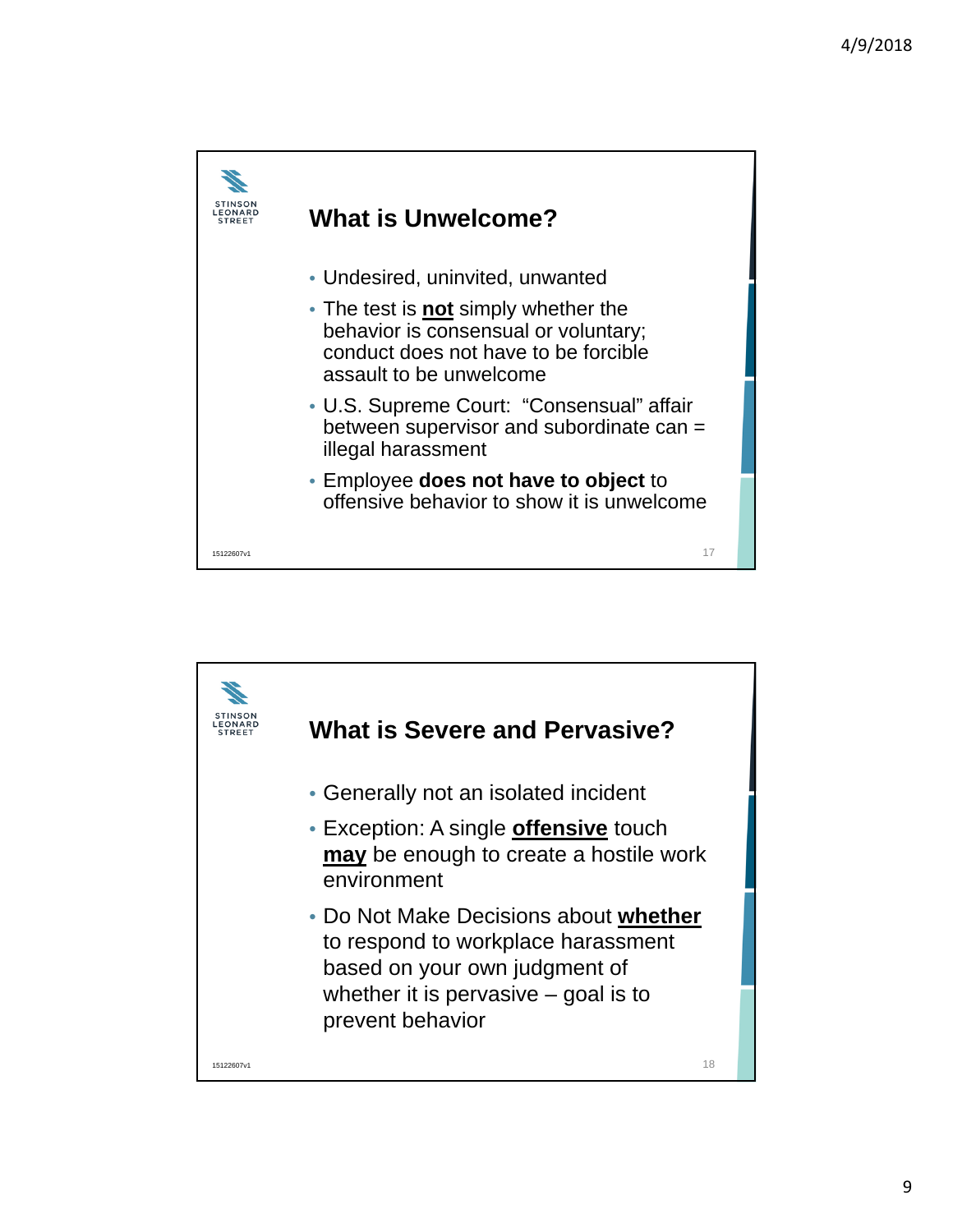

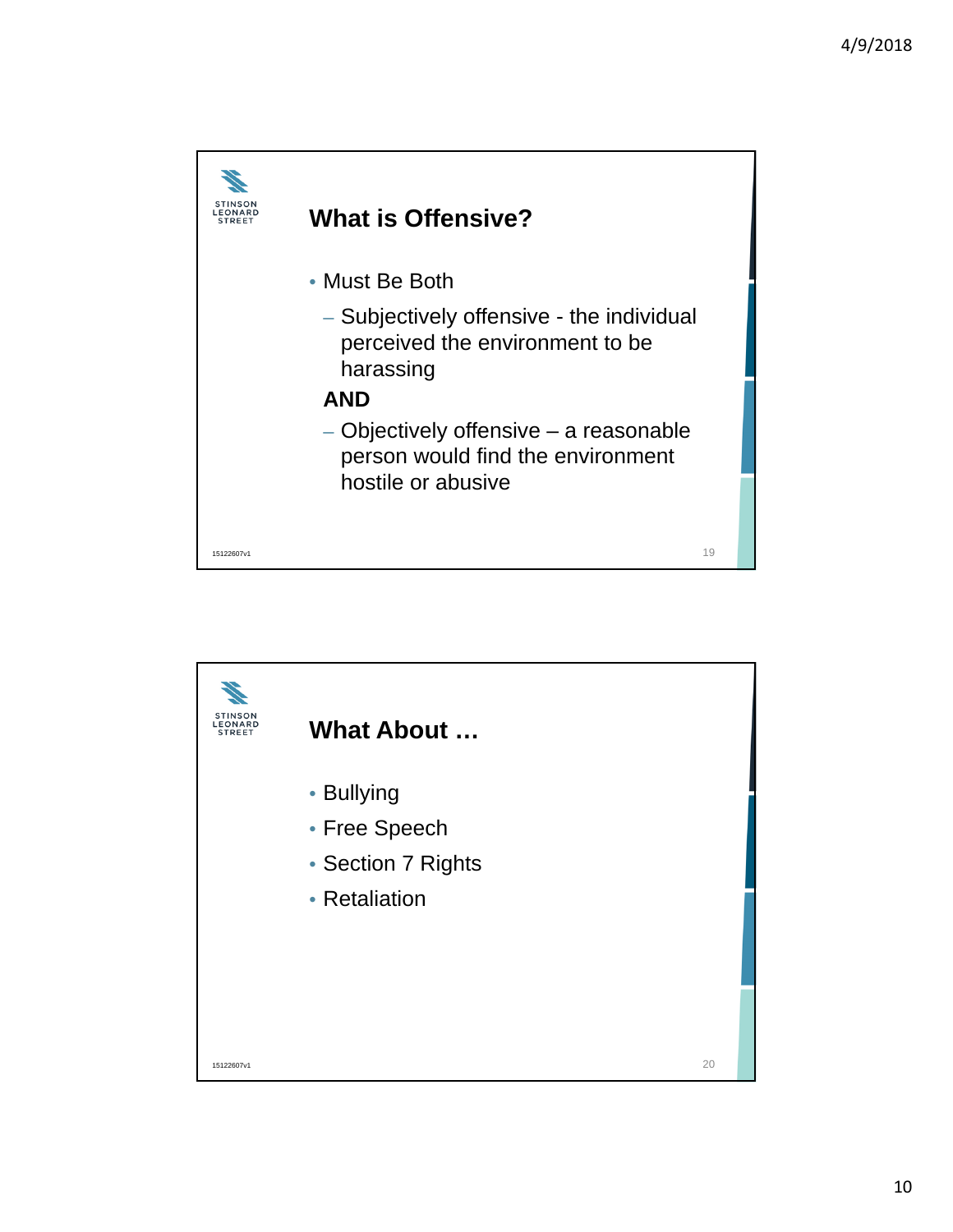

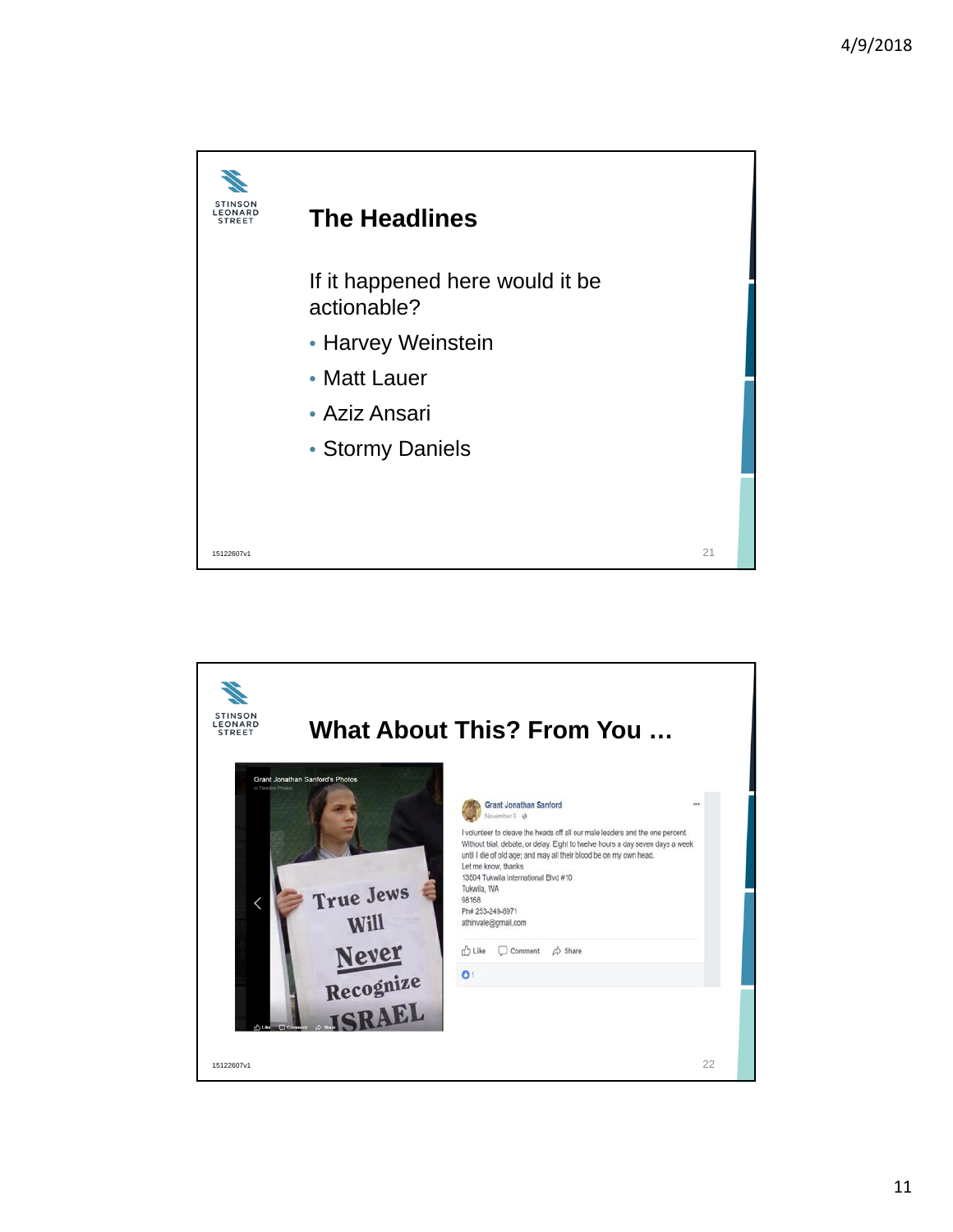

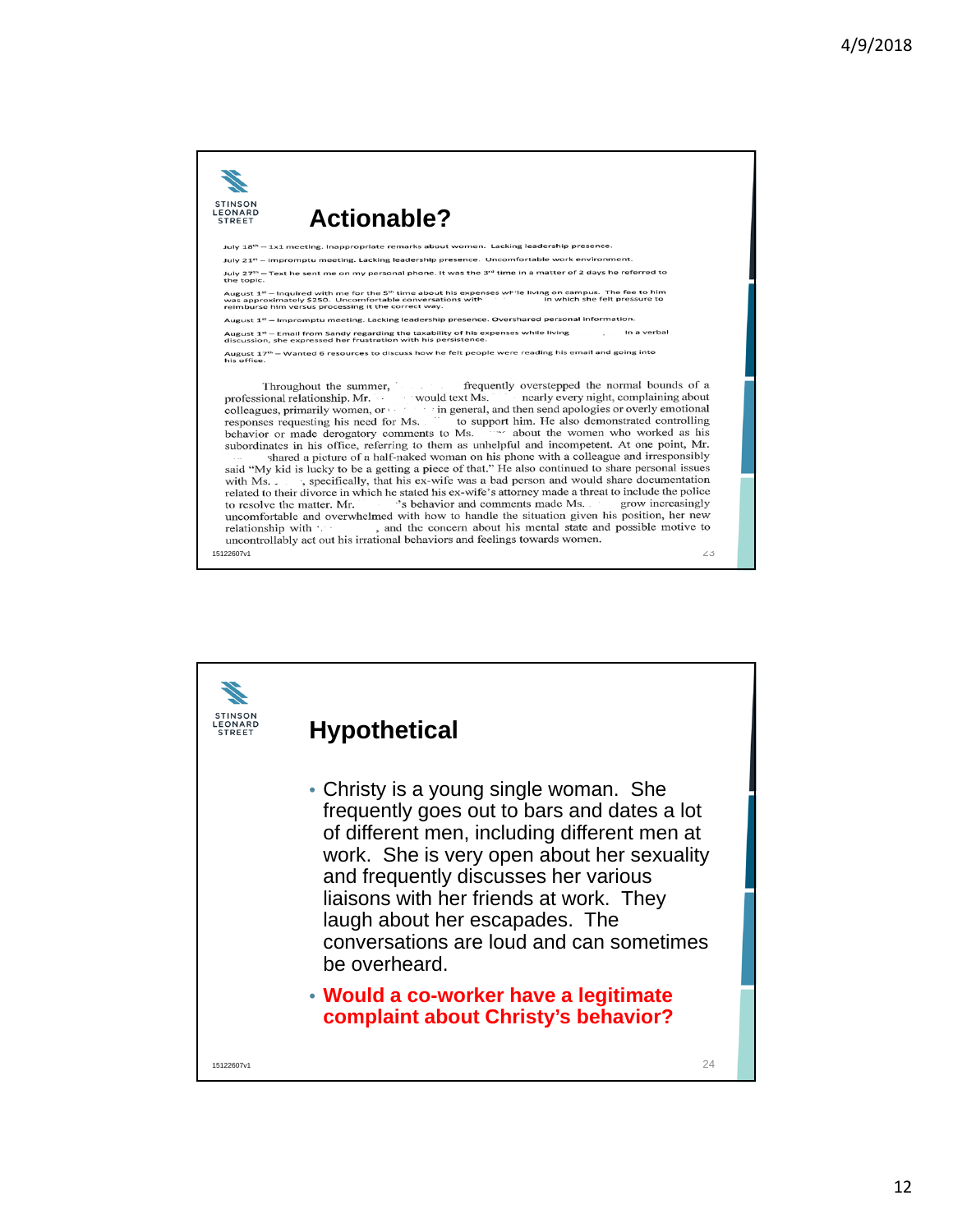

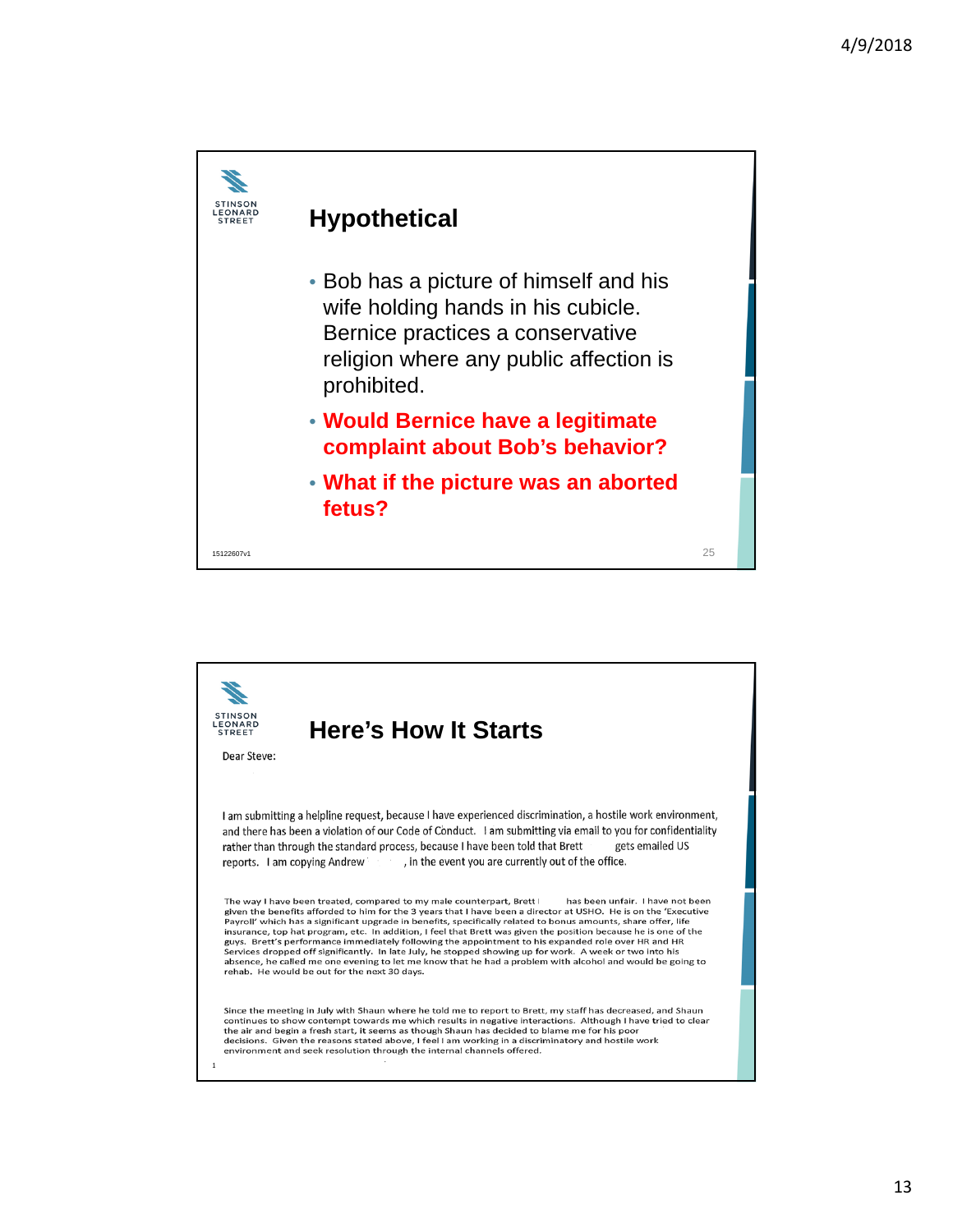

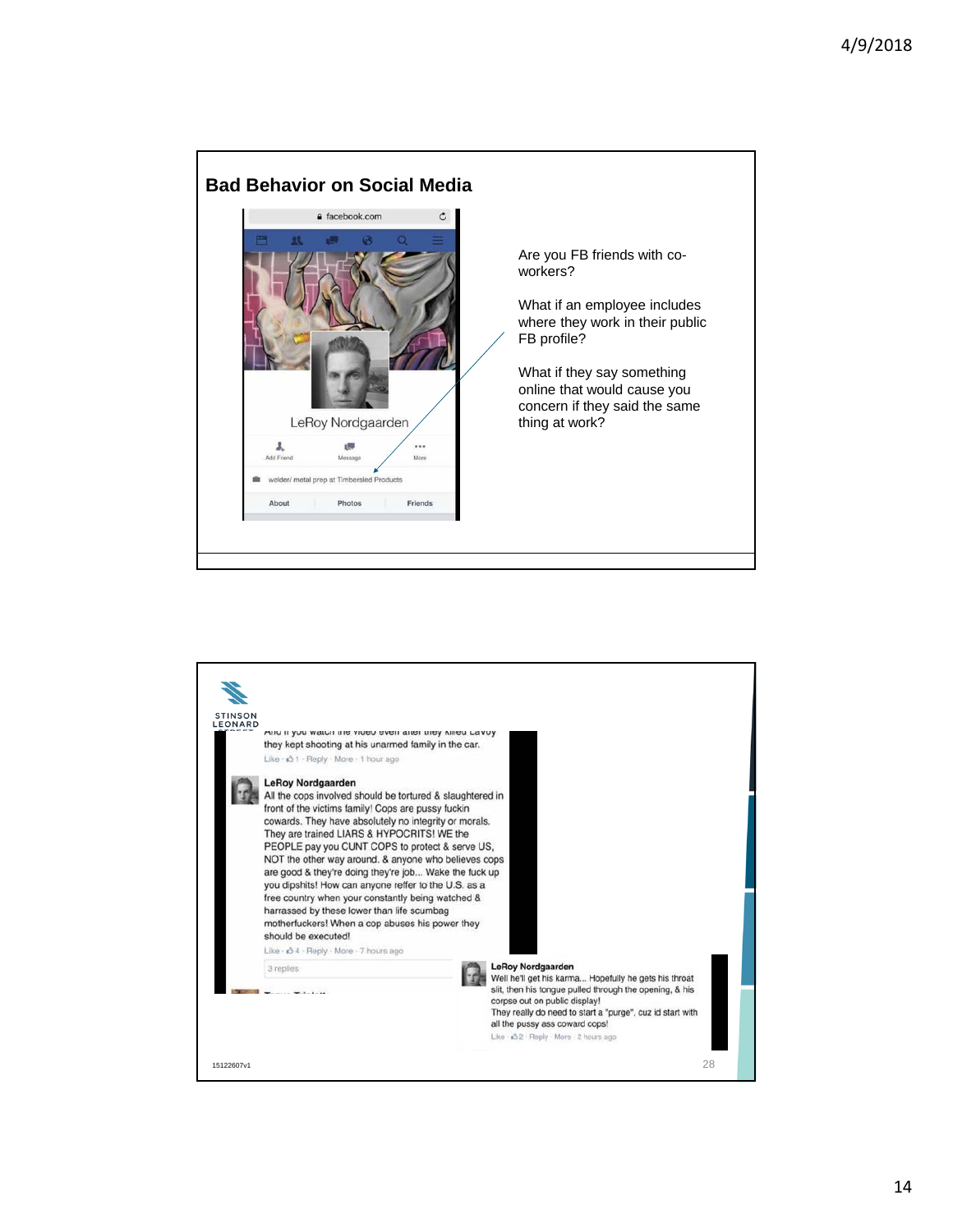

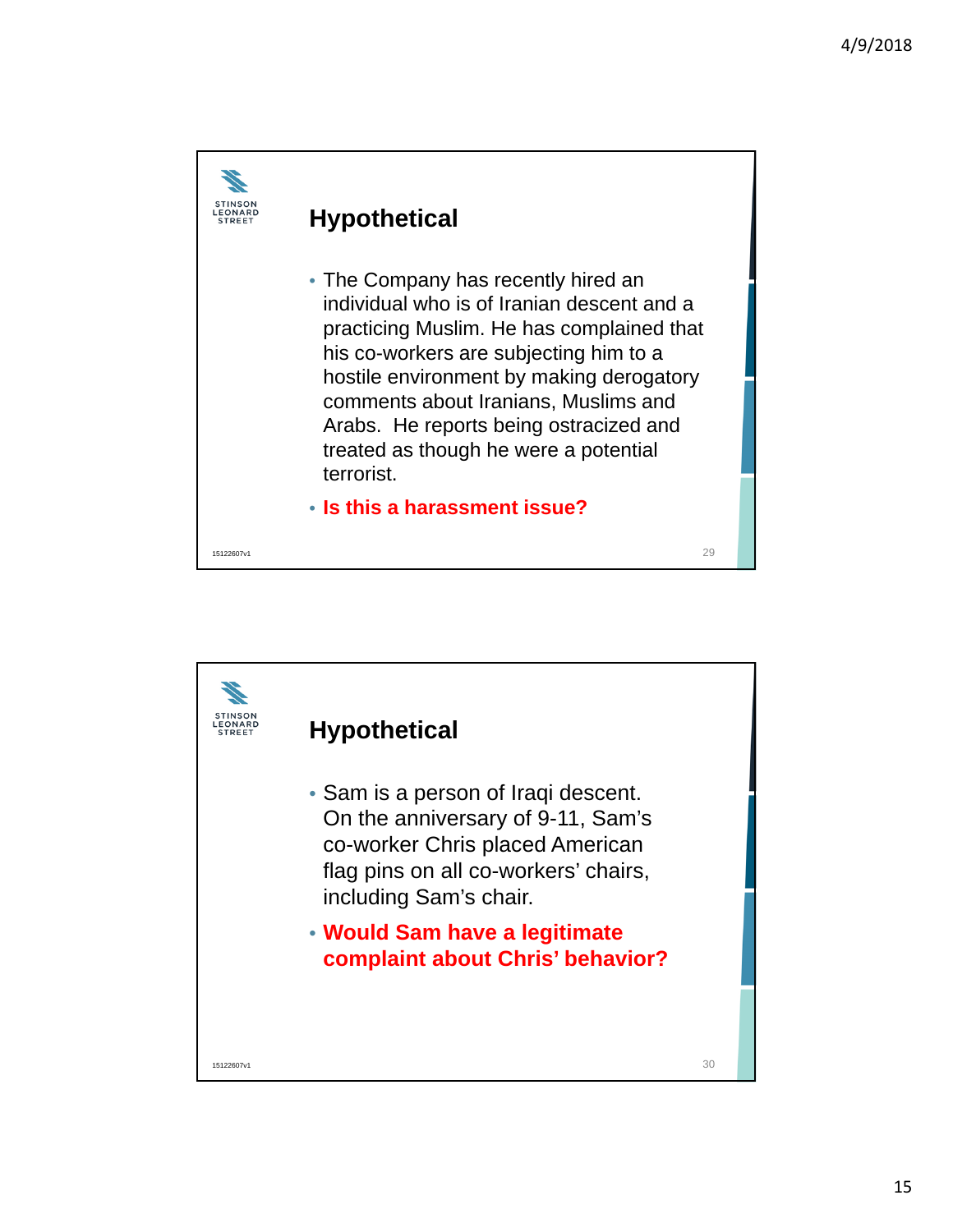